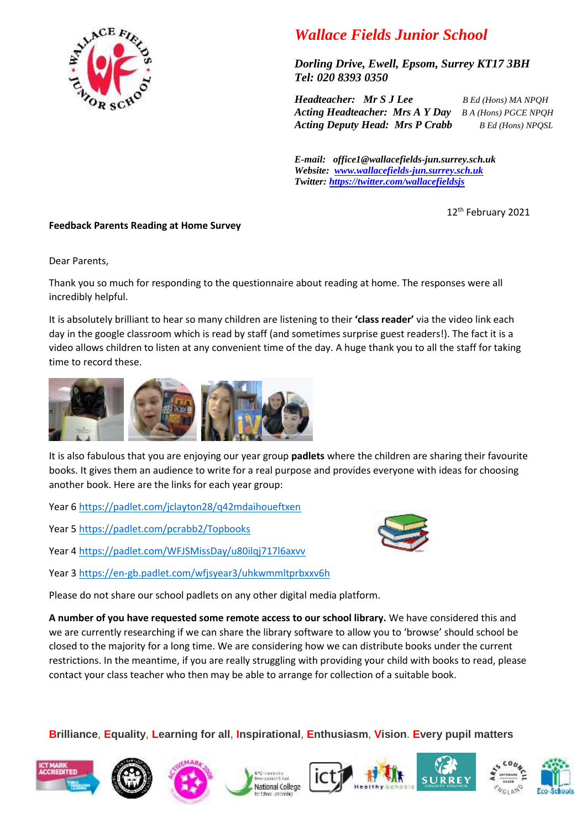

## *Wallace Fields Junior School*

*Dorling Drive, Ewell, Epsom, Surrey KT17 3BH Tel: 020 8393 0350* 

*Headteacher: Mr S J Lee B Ed (Hons) MA NPQH Acting Headteacher: Mrs A Y Day B A (Hons) PGCE NPQH Acting Deputy Head: Mrs P Crabb B Ed (Hons) NPQSL*

*E-mail: office1@wallacefields-jun.surrey.sch.uk Website: [www.wallacefields-jun.surrey.sch.uk](http://www.wallacefields-jun.surrey.sch.uk/) Twitter: <https://twitter.com/wallacefieldsjs>*

12th February 2021

## **Feedback Parents Reading at Home Survey**

Dear Parents,

Thank you so much for responding to the questionnaire about reading at home. The responses were all incredibly helpful.

It is absolutely brilliant to hear so many children are listening to their **'class reader'** via the video link each day in the google classroom which is read by staff (and sometimes surprise guest readers!). The fact it is a video allows children to listen at any convenient time of the day. A huge thank you to all the staff for taking time to record these.



It is also fabulous that you are enjoying our year group **padlets** where the children are sharing their favourite books. It gives them an audience to write for a real purpose and provides everyone with ideas for choosing another book. Here are the links for each year group:

Year 6<https://padlet.com/jclayton28/q42mdaihoueftxen>

Year 5<https://padlet.com/pcrabb2/Topbooks>

Year 4<https://padlet.com/WFJSMissDay/u80ilqj717l6axvv>

Year 3<https://en-gb.padlet.com/wfjsyear3/uhkwmmltprbxxv6h>

Please do not share our school padlets on any other digital media platform.

**A number of you have requested some remote access to our school library.** We have considered this and we are currently researching if we can share the library software to allow you to 'browse' should school be closed to the majority for a long time. We are considering how we can distribute books under the current restrictions. In the meantime, if you are really struggling with providing your child with books to read, please contact your class teacher who then may be able to arrange for collection of a suitable book.

## **Brilliance**, **Equality**, **Learning for all**, **Inspirational**, **Enthusiasm**, **Vision**. **Every pupil matters**